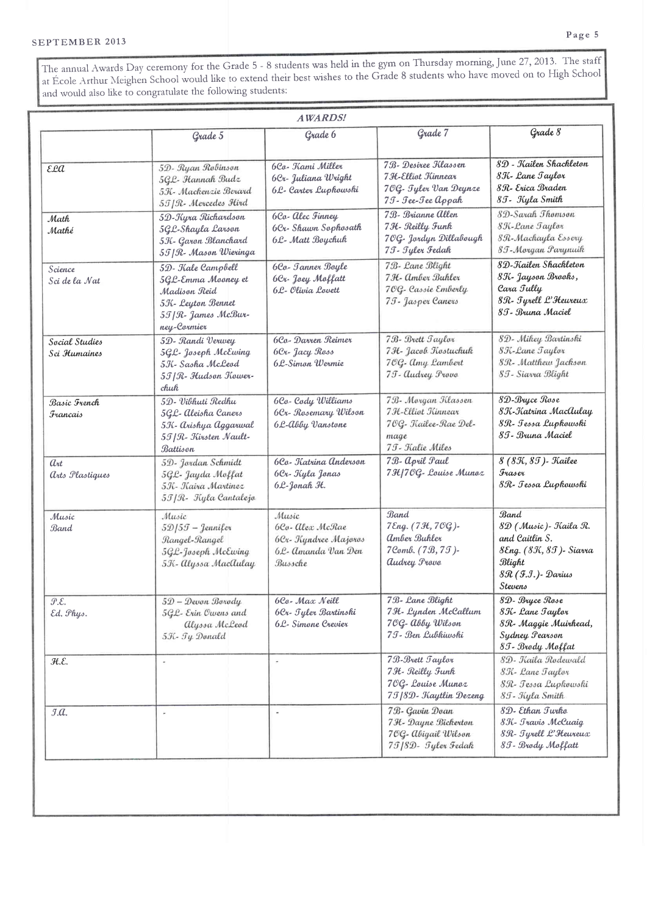The annual Awards Day ceremony for the Grade 5 - 8 students was held in the gym on Thursday morning, June 27, 2013. The staff at École Arthur Meighen School would like to extend their best wishes to the Grade 8 students who have moved on to High School and would also like to congratulate the following students:

|                                         | Grade 5                                                                                                              | Grade 6                                                                            | Grade 7                                                                                      | Grade 8                                                                                                              |
|-----------------------------------------|----------------------------------------------------------------------------------------------------------------------|------------------------------------------------------------------------------------|----------------------------------------------------------------------------------------------|----------------------------------------------------------------------------------------------------------------------|
|                                         |                                                                                                                      |                                                                                    |                                                                                              |                                                                                                                      |
| εla                                     | 5D- Ryan Robinson<br>5GL- Hannah Budz<br>5K- Mackenzie Berard<br>55   R- Mercedes Hird                               | 6Co- Kami Miller<br>6Cr- Juliana Wright<br>6L- Carter Luphowski                    | 7.B- Desiree Klassen<br>7 H-Elliot Kinnear<br>70G- Tyler Van Deynze<br>7J - Jee-Jee Appah    | 8D - Kailen Shackleton<br>8K - Lane Taylor<br>8.R- Erica Braden<br>85 - Kyla Smith                                   |
| Math<br>Mathé                           | 5D-Kyra Richardson<br>5GL-Shayla Larson<br>5K- Garon Blanchard<br>55   R - Mason Wieringa                            | 6Co- Alec Finney<br>6Cr-Shawn Sophosath<br>6L- Matt Boychuk                        | 7B- Brianne Allen<br>7H - Reilly Funk<br>70G- Jordyn Dillabough<br>75 - Jyler Fedah          | 8D-Sarah Thomson<br>8K-Lane Taylor<br>8R-Mackayla Essery<br>85 - Morgan Parynuik                                     |
| Science<br>Sci de la Nat                | 5D- Kale Campbell<br>5GL-Emma Mooney et<br>Madison Reid<br>5K- Leyton Bennet<br>5T   R - James McBur-<br>ney-Cormier | 6Co - Janner Boyle<br>6Cr - Joey Moffatt<br>6L- Olivia Lovett                      | 7B- Lane Blight<br>7H- Amber Buhler<br>70G- Cassie Emberly<br>75 - Jasper Caners             | 8D-Kailen Shackleton<br>8K- Jayson Brooks,<br>Cara Tully<br>8R- Tyrell L'Heureux<br>8.T - Bruna Maciel               |
| Sacial Studies<br>Sci Humaines          | 5D- Randi Verwey<br>5GL- Joseph McEwing<br>5K - Sasha McLeod<br>55   R - Hudson Kower-<br>chuk                       | 6Ca- Darren Reimer<br>6Cr. Jacy Ross<br>6L-Simon Wermie                            | 7B- Brett Taylor<br>7H- Jacob Kostuchuk<br>70G- Amy Lambert<br>75 - Audrey Provo             | 8D- Mikey Bartinski<br>8K-Lane Taylor<br>8R- Matthew Jackson<br>85 - Siavra Blight                                   |
| Basic French<br>Francais                | 5D- Vibhuti Redhu<br>5GL- Aleisha Caners<br>5K - Arishya Aggarwal<br>55   R- Kirsten Nault-<br>Battison              | 6Co-Cody Williams<br>6Cr - Rosemary Wilson<br>6 L-Abby Vanstone                    | 7B- Morgan Klassen<br>7 H-Elliot Kinnear<br>70G- Kailee-Rae Del-<br>mage<br>75 - Kalie Miles | 8D-Bryce Rose<br>8K-Katrina MacAulay<br>8R- Jessa Lupkowski<br>8 T - Bruna Maciel                                    |
| $a_{rt}$<br>arts Plastiques             | 5D- Jordan Schmidt<br>5GL- Jayda Moffat<br>5K - Kaira Martinez<br>5T   R - Kyla Cantalejo                            | 6Co - Katrina Anderson<br>6Cr- Kyla Jonas<br>6L-Jonah H.                           | 7B- April Paul<br>7HJ7OG- Louise Munoz                                                       | 8 (8K, 8T) - Kailee<br><b>Fraser</b><br>8R- Jessa Lupkowski                                                          |
| Music<br>Band                           | Music<br>$5D/5J$ - Jennifer<br>Rangel-Rangel<br>5GL-Joseph McEwing<br>5K- Alyssa MacAulay                            | Music<br>6Co- Alex McRae<br>6Cr - Kyndree Majoros<br>6L- Amanda Van Den<br>Bussche | Band<br>7 Eng. (7 H, 70G)-<br>Amber Buhler<br>7Comb. (7B, 7I)-<br><b>audrey Provo</b>        | Band<br>8D (Music) - Kaila R.<br>and Caitlin S.<br>8Eng. (8K, 8T)- Siarra<br>Blight<br>8R (F.I.) - Darius<br>Stevens |
| $\mathcal{P}.\mathcal{E}.$<br>Ed. Phys. | 5D - Devon Borody<br>5GL- Erin Owens and<br>alyssa McLeod<br>5K- Ty Donald                                           | 6Co- Max Neill<br>6Cr- Tyler Bartinski<br>6L- Simone Crevier                       | 7B- Lane Blight<br>7H- Lynden McCallum<br>70G- abby Wilson<br>75 - Ben Lubkiwski             | 8D- Bryce Rose<br>8K - Lane Taylor<br>8R- Maggie Muirhead,<br>Sydney Pearson<br>8T - Brody Moffat                    |
| H.E.                                    |                                                                                                                      |                                                                                    | 7B-Brett Taylor<br>7H - Reilly Funk<br>70G- Louise Munoz<br>75   8D - Kaytlin Dezeng         | 8D- Kaila Rodewald<br>8K - Lane Taylor<br>8R- Tessa Lupkowski<br>85 - Kyla Smith                                     |
| J.A.                                    | ä,                                                                                                                   | $\bar{\tau}$                                                                       | 7B- Gavin Doan<br>7 H- Dayne Bickerton<br>7OG- Abigail Wilson<br>75   8D - Tyler Fedak       | 8D- Ethan Turko<br>8K - Travis McCuaig<br>8R- Tyrell L'Heureux<br>85 - Brody Moffatt                                 |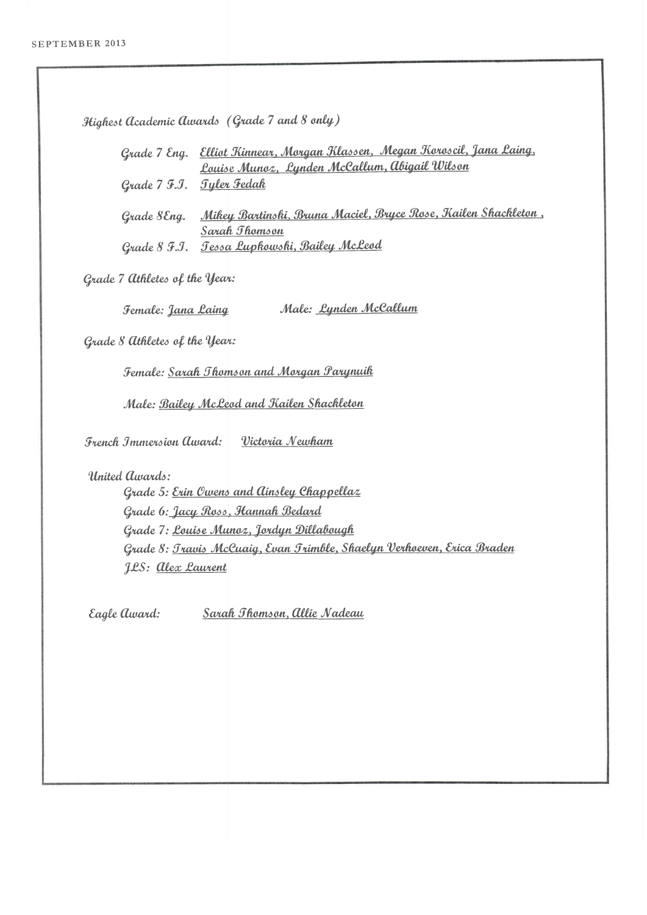Highest Academic Awards (Grade 7 and 8 only) Grade 7 Eng. Elliot Kinnear, Morgan Klassen, Megan Koroscil, Jana Laing, Louise Munoz, Lynden McCallum, abigail Wilson Grade 7 F.J. Tyler Fedak Grade 8 Eng. Mikey Bartinski, Bruna Maciel, Bryce Rose, Kailen Shackleton, Sarah *Jhomson* Grade 8 F.J. Tessa Lupkowski, Bailey McLeod Grade 7 athletes of the Year: Male: Lynden McCallum Female: Jana Laing Grade 8 athletes of the Year: Female: Sarah Thomson and Morgan Parynuik Male: Bailey McLeod and Kailen Shackleton Victoria Newham **French Immersion Award:** United *awards:* Grade 5: Erin Owens and Ainsley Chappellaz Grade 6: Jacy Ross, Hannah Bedard Grade 7: Louise Munoz, Jordyn Dillabough Grade 8: Travis McCuaig, Evan Trimble, Shaelyn Verhoeven, Erica Braden J.L.S: <u>alex Laurent</u> Sarah Thomson, Allie Nadeau Eagle award: